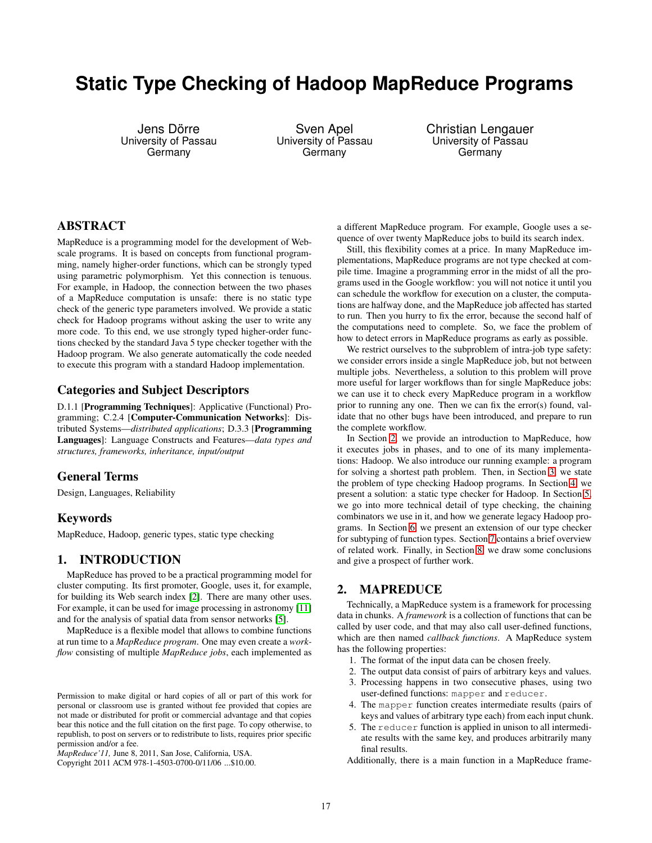# **Static Type Checking of Hadoop MapReduce Programs**

Jens Dörre University of Passau Germany

Sven Apel University of Passau Germany

Christian Lengauer University of Passau Germany

# **ABSTRACT**

MapReduce is a programming model for the development of Webscale programs. It is based on concepts from functional programming, namely higher-order functions, which can be strongly typed using parametric polymorphism. Yet this connection is tenuous. For example, in Hadoop, the connection between the two phases of a MapReduce computation is unsafe: there is no static type check of the generic type parameters involved. We provide a static check for Hadoop programs without asking the user to write any more code. To this end, we use strongly typed higher-order functions checked by the standard Java 5 type checker together with the Hadoop program. We also generate automatically the code needed to execute this program with a standard Hadoop implementation.

# **Categories and Subject Descriptors**

D.1.1 [**Programming Techniques**]: Applicative (Functional) Programming; C.2.4 [**Computer-Communication Networks**]: Distributed Systems—*distributed applications*; D.3.3 [**Programming Languages**]: Language Constructs and Features—*data types and structures, frameworks, inheritance, input/output*

# **General Terms**

Design, Languages, Reliability

# **Keywords**

MapReduce, Hadoop, generic types, static type checking

# <span id="page-0-1"></span>**1. INTRODUCTION**

MapReduce has proved to be a practical programming model for cluster computing. Its first promoter, Google, uses it, for example, for building its Web search index [\[2\]](#page-7-0). There are many other uses. For example, it can be used for image processing in astronomy [\[11\]](#page-7-1) and for the analysis of spatial data from sensor networks [\[5\]](#page-7-2).

MapReduce is a flexible model that allows to combine functions at run time to a *MapReduce program*. One may even create a *workflow* consisting of multiple *MapReduce jobs*, each implemented as

Copyright 2011 ACM 978-1-4503-0700-0/11/06 ...\$10.00.

a different MapReduce program. For example, Google uses a sequence of over twenty MapReduce jobs to build its search index.

Still, this flexibility comes at a price. In many MapReduce implementations, MapReduce programs are not type checked at compile time. Imagine a programming error in the midst of all the programs used in the Google workflow: you will not notice it until you can schedule the workflow for execution on a cluster, the computations are halfway done, and the MapReduce job affected has started to run. Then you hurry to fix the error, because the second half of the computations need to complete. So, we face the problem of how to detect errors in MapReduce programs as early as possible.

We restrict ourselves to the subproblem of intra-job type safety: we consider errors inside a single MapReduce job, but not between multiple jobs. Nevertheless, a solution to this problem will prove more useful for larger workflows than for single MapReduce jobs: we can use it to check every MapReduce program in a workflow prior to running any one. Then we can fix the error(s) found, validate that no other bugs have been introduced, and prepare to run the complete workflow.

In Section [2,](#page-0-0) we provide an introduction to MapReduce, how it executes jobs in phases, and to one of its many implementations: Hadoop. We also introduce our running example: a program for solving a shortest path problem. Then, in Section [3,](#page-2-0) we state the problem of type checking Hadoop programs. In Section [4,](#page-2-1) we present a solution: a static type checker for Hadoop. In Section [5,](#page-3-0) we go into more technical detail of type checking, the chaining combinators we use in it, and how we generate legacy Hadoop programs. In Section [6,](#page-5-0) we present an extension of our type checker for subtyping of function types. Section [7](#page-6-0) contains a brief overview of related work. Finally, in Section [8,](#page-7-3) we draw some conclusions and give a prospect of further work.

### <span id="page-0-0"></span>**2. MAPREDUCE**

Technically, a MapReduce system is a framework for processing data in chunks. A *framework* is a collection of functions that can be called by user code, and that may also call user-defined functions, which are then named *callback functions*. A MapReduce system has the following properties:

- 1. The format of the input data can be chosen freely.
- 2. The output data consist of pairs of arbitrary keys and values.
- 3. Processing happens in two consecutive phases, using two user-defined functions: mapper and reducer.
- 4. The mapper function creates intermediate results (pairs of keys and values of arbitrary type each) from each input chunk.
- 5. The reducer function is applied in unison to all intermediate results with the same key, and produces arbitrarily many final results.

Additionally, there is a main function in a MapReduce frame-

Permission to make digital or hard copies of all or part of this work for personal or classroom use is granted without fee provided that copies are not made or distributed for profit or commercial advantage and that copies bear this notice and the full citation on the first page. To copy otherwise, to republish, to post on servers or to redistribute to lists, requires prior specific permission and/or a fee.

*MapReduce'11,* June 8, 2011, San Jose, California, USA.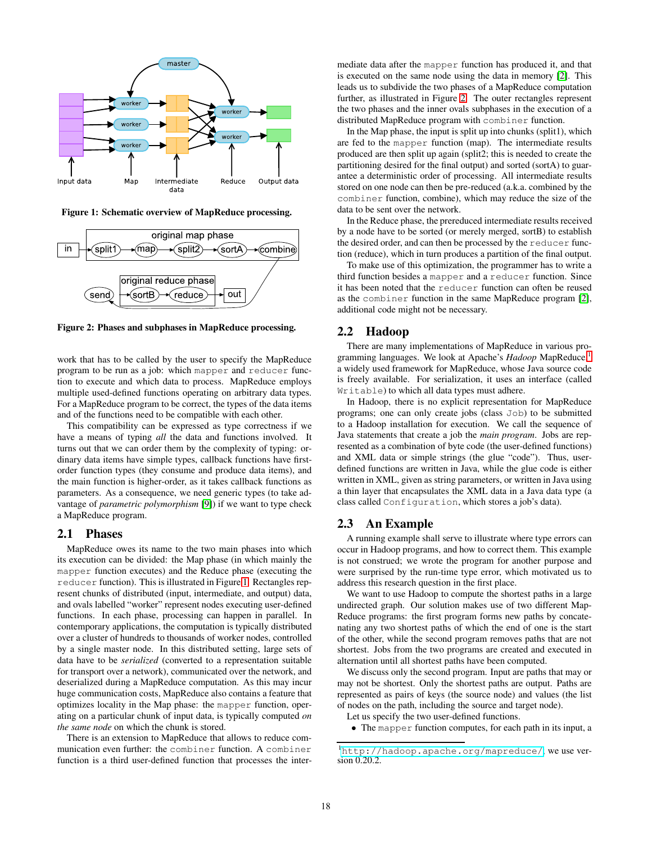

<span id="page-1-0"></span>**Figure 1: Schematic overview of MapReduce processing.**



<span id="page-1-1"></span>**Figure 2: Phases and subphases in MapReduce processing.**

work that has to be called by the user to specify the MapReduce program to be run as a job: which mapper and reducer function to execute and which data to process. MapReduce employs multiple used-defined functions operating on arbitrary data types. For a MapReduce program to be correct, the types of the data items and of the functions need to be compatible with each other.

This compatibility can be expressed as type correctness if we have a means of typing *all* the data and functions involved. It turns out that we can order them by the complexity of typing: ordinary data items have simple types, callback functions have firstorder function types (they consume and produce data items), and the main function is higher-order, as it takes callback functions as parameters. As a consequence, we need generic types (to take advantage of *parametric polymorphism* [\[9\]](#page-7-4)) if we want to type check a MapReduce program.

#### **2.1 Phases**

MapReduce owes its name to the two main phases into which its execution can be divided: the Map phase (in which mainly the mapper function executes) and the Reduce phase (executing the reducer function). This is illustrated in Figure [1.](#page-1-0) Rectangles represent chunks of distributed (input, intermediate, and output) data, and ovals labelled "worker" represent nodes executing user-defined functions. In each phase, processing can happen in parallel. In contemporary applications, the computation is typically distributed over a cluster of hundreds to thousands of worker nodes, controlled by a single master node. In this distributed setting, large sets of data have to be *serialized* (converted to a representation suitable for transport over a network), communicated over the network, and deserialized during a MapReduce computation. As this may incur huge communication costs, MapReduce also contains a feature that optimizes locality in the Map phase: the mapper function, operating on a particular chunk of input data, is typically computed *on the same node* on which the chunk is stored.

There is an extension to MapReduce that allows to reduce communication even further: the combiner function. A combiner function is a third user-defined function that processes the intermediate data after the mapper function has produced it, and that is executed on the same node using the data in memory [\[2\]](#page-7-0). This leads us to subdivide the two phases of a MapReduce computation further, as illustrated in Figure [2.](#page-1-1) The outer rectangles represent the two phases and the inner ovals subphases in the execution of a distributed MapReduce program with combiner function.

In the Map phase, the input is split up into chunks (split1), which are fed to the mapper function (map). The intermediate results produced are then split up again (split2; this is needed to create the partitioning desired for the final output) and sorted (sortA) to guarantee a deterministic order of processing. All intermediate results stored on one node can then be pre-reduced (a.k.a. combined by the combiner function, combine), which may reduce the size of the data to be sent over the network.

In the Reduce phase, the prereduced intermediate results received by a node have to be sorted (or merely merged, sortB) to establish the desired order, and can then be processed by the reducer function (reduce), which in turn produces a partition of the final output.

To make use of this optimization, the programmer has to write a third function besides a mapper and a reducer function. Since it has been noted that the reducer function can often be reused as the combiner function in the same MapReduce program [\[2\]](#page-7-0), additional code might not be necessary.

### **2.2 Hadoop**

There are many implementations of MapReduce in various programming languages. We look at Apache's *Hadoop* MapReduce,[1](#page-1-2) a widely used framework for MapReduce, whose Java source code is freely available. For serialization, it uses an interface (called Writable) to which all data types must adhere.

In Hadoop, there is no explicit representation for MapReduce programs; one can only create jobs (class Job) to be submitted to a Hadoop installation for execution. We call the sequence of Java statements that create a job the *main program*. Jobs are represented as a combination of byte code (the user-defined functions) and XML data or simple strings (the glue "code"). Thus, userdefined functions are written in Java, while the glue code is either written in XML, given as string parameters, or written in Java using a thin layer that encapsulates the XML data in a Java data type (a class called Configuration, which stores a job's data).

### <span id="page-1-3"></span>**2.3 An Example**

A running example shall serve to illustrate where type errors can occur in Hadoop programs, and how to correct them. This example is not construed; we wrote the program for another purpose and were surprised by the run-time type error, which motivated us to address this research question in the first place.

We want to use Hadoop to compute the shortest paths in a large undirected graph. Our solution makes use of two different Map-Reduce programs: the first program forms new paths by concatenating any two shortest paths of which the end of one is the start of the other, while the second program removes paths that are not shortest. Jobs from the two programs are created and executed in alternation until all shortest paths have been computed.

We discuss only the second program. Input are paths that may or may not be shortest. Only the shortest paths are output. Paths are represented as pairs of keys (the source node) and values (the list of nodes on the path, including the source and target node).

- Let us specify the two user-defined functions.
- The mapper function computes, for each path in its input, a

<span id="page-1-2"></span><sup>1</sup><http://hadoop.apache.org/mapreduce/>; we use version 0.20.2.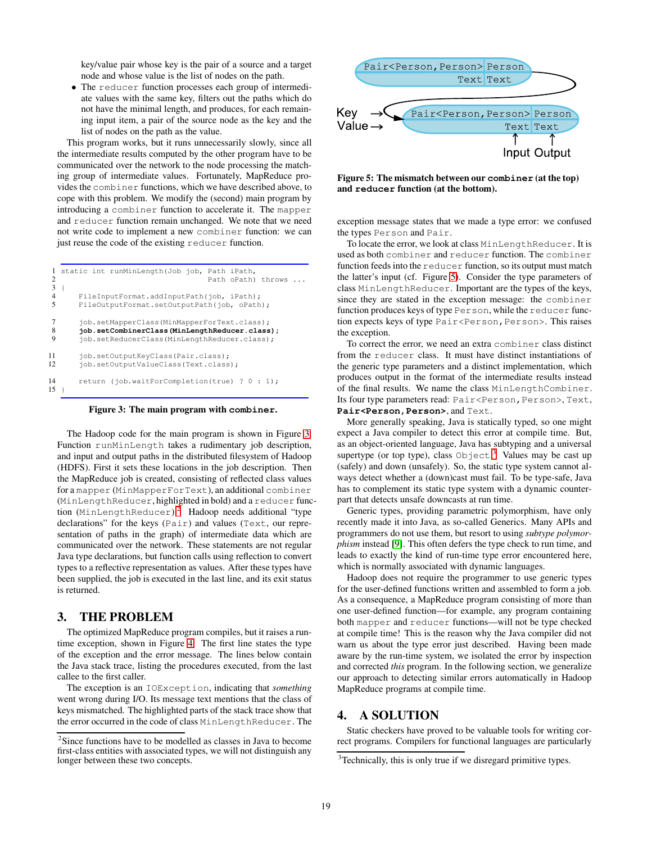key/value pair whose key is the pair of a source and a target node and whose value is the list of nodes on the path.

• The reducer function processes each group of intermediate values with the same key, filters out the paths which do not have the minimal length, and produces, for each remaining input item, a pair of the source node as the key and the list of nodes on the path as the value.

This program works, but it runs unnecessarily slowly, since all the intermediate results computed by the other program have to be communicated over the network to the node processing the matching group of intermediate values. Fortunately, MapReduce provides the combiner functions, which we have described above, to cope with this problem. We modify the (second) main program by introducing a combiner function to accelerate it. The mapper and reducer function remain unchanged. We note that we need not write code to implement a new combiner function: we can just reuse the code of the existing reducer function.

```
1 static int runMinLength(Job job, Path iPath,
2 Path oPath) throws ...
\frac{3}{4}4 FileInputFormat.addInputPath(job, iPath);<br>5 FileOutputFormat.setOutputPath(job, oPath
       5 FileOutputFormat.setOutputPath(job, oPath);
7 job.setMapperClass(MinMapperForText.class);
8 job.setCombinerClass(MinLengthReducer.class);
       9 job.setReducerClass(MinLengthReducer.class);
11 job.setOutputKeyClass(Pair.class);
12 job.setOutputValueClass(Text.class);
14 return (job.waitForCompletion(true) ? 0 : 1);
15 }
```
<span id="page-2-2"></span>**Figure 3: The main program with combiner.**

The Hadoop code for the main program is shown in Figure [3.](#page-2-2) Function runMinLength takes a rudimentary job description, and input and output paths in the distributed filesystem of Hadoop (HDFS). First it sets these locations in the job description. Then the MapReduce job is created, consisting of reflected class values for a mapper (MinMapperForText), an additional combiner (MinLengthReducer, highlighted in bold) and a reducer func-tion (MinLengthReducer).<sup>[2](#page-2-3)</sup> Hadoop needs additional "type declarations" for the keys (Pair) and values (Text, our representation of paths in the graph) of intermediate data which are communicated over the network. These statements are not regular Java type declarations, but function calls using reflection to convert types to a reflective representation as values. After these types have been supplied, the job is executed in the last line, and its exit status is returned.

# <span id="page-2-0"></span>**3. THE PROBLEM**

The optimized MapReduce program compiles, but it raises a runtime exception, shown in Figure [4.](#page-3-1) The first line states the type of the exception and the error message. The lines below contain the Java stack trace, listing the procedures executed, from the last callee to the first caller.

The exception is an IOException, indicating that *something* went wrong during I/O. Its message text mentions that the class of keys mismatched. The highlighted parts of the stack trace show that the error occurred in the code of class MinLengthReducer. The



<span id="page-2-4"></span>**Figure 5: The mismatch between our combiner (at the top) and reducer function (at the bottom).**

exception message states that we made a type error: we confused the types Person and Pair.

To locate the error, we look at class MinLengthReducer. It is used as both combiner and reducer function. The combiner function feeds into the reducer function, so its output must match the latter's input (cf. Figure [5\)](#page-2-4). Consider the type parameters of class MinLengthReducer. Important are the types of the keys, since they are stated in the exception message: the combiner function produces keys of type Person, while the reducer function expects keys of type Pair<Person, Person>. This raises the exception.

To correct the error, we need an extra combiner class distinct from the reducer class. It must have distinct instantiations of the generic type parameters and a distinct implementation, which produces output in the format of the intermediate results instead of the final results. We name the class MinLengthCombiner. Its four type parameters read: Pair<Person, Person>, Text, Pair<Person, Person>, and Text.

More generally speaking, Java is statically typed, so one might expect a Java compiler to detect this error at compile time. But, as an object-oriented language, Java has subtyping and a universal supertype (or top type), class  $Object.^3$  $Object.^3$  Values may be cast up (safely) and down (unsafely). So, the static type system cannot always detect whether a (down)cast must fail. To be type-safe, Java has to complement its static type system with a dynamic counterpart that detects unsafe downcasts at run time.

Generic types, providing parametric polymorphism, have only recently made it into Java, as so-called Generics. Many APIs and programmers do not use them, but resort to using *subtype polymorphism* instead [\[9\]](#page-7-4). This often defers the type check to run time, and leads to exactly the kind of run-time type error encountered here, which is normally associated with dynamic languages.

Hadoop does not require the programmer to use generic types for the user-defined functions written and assembled to form a job. As a consequence, a MapReduce program consisting of more than one user-defined function—for example, any program containing both mapper and reducer functions—will not be type checked at compile time! This is the reason why the Java compiler did not warn us about the type error just described. Having been made aware by the run-time system, we isolated the error by inspection and corrected *this* program. In the following section, we generalize our approach to detecting similar errors automatically in Hadoop MapReduce programs at compile time.

# <span id="page-2-1"></span>**4. A SOLUTION**

Static checkers have proved to be valuable tools for writing correct programs. Compilers for functional languages are particularly

<span id="page-2-3"></span><sup>2</sup> Since functions have to be modelled as classes in Java to become first-class entities with associated types, we will not distinguish any longer between these two concepts.

<span id="page-2-5"></span><sup>&</sup>lt;sup>3</sup>Technically, this is only true if we disregard primitive types.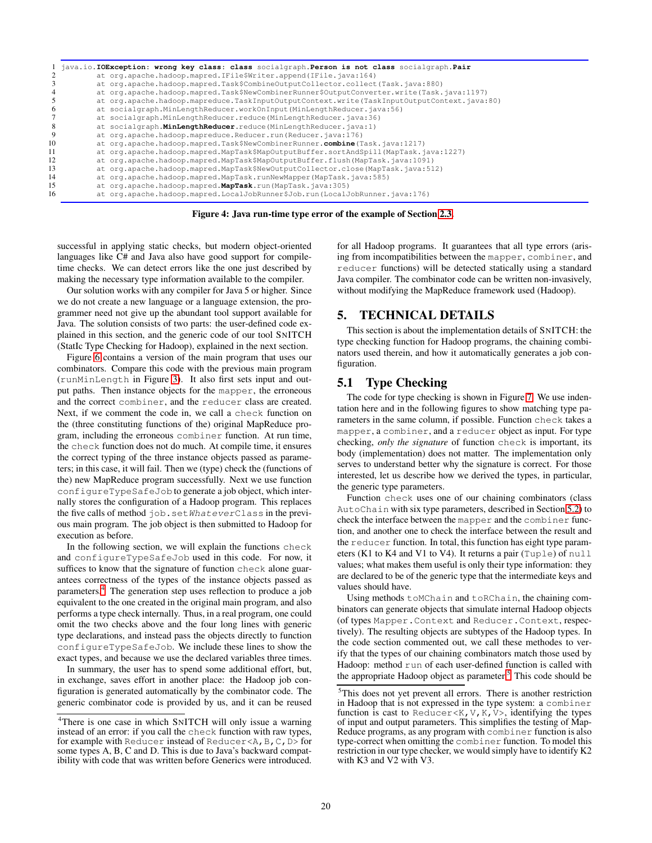|    | 1 java.io. IOException: wrong key class: class socialgraph. Person is not class socialgraph. Pair |
|----|---------------------------------------------------------------------------------------------------|
|    | at org.apache.hadoop.mapred.IFile\$Writer.append(IFile.java:164)                                  |
|    | at org.apache.hadoop.mapred.Task\$CombineOutputCollector.collect(Task.java:880)                   |
| 4  | at org.apache.hadoop.mapred.Task\$NewCombinerRunner\$OutputConverter.write(Task.java:1197)        |
| 5  | at org.apache.hadoop.mapreduce.TaskInputOutputContext.write(TaskInputOutputContext.java:80)       |
| -6 | at socialgraph.MinLengthReducer.workOnInput(MinLengthReducer.java:56)                             |
|    | at socialgraph.MinLengthReducer.reduce(MinLengthReducer.java:36)                                  |
| 8  | at socialgraph. MinLengthReducer.reduce(MinLengthReducer.java:1)                                  |
| 9  | at org.apache.hadoop.mapreduce.Reducer.run(Reducer.java:176)                                      |
| 10 | at org.apache.hadoop.mapred.Task\$NewCombinerRunner.combine(Task.java:1217)                       |
| 11 | at org.apache.hadoop.mapred.MapTask\$MapOutputBuffer.sortAndSpill(MapTask.java:1227)              |
| 12 | at org.apache.hadoop.mapred.MapTask\$MapOutputBuffer.flush(MapTask.java:1091)                     |
| 13 | at org.apache.hadoop.mapred.MapTask\$NewOutputCollector.close(MapTask.java:512)                   |
| 14 | at org.apache.hadoop.mapred.MapTask.runNewMapper(MapTask.java:585)                                |
| 15 | at org.apache.hadoop.mapred.MapTask.run(MapTask.java:305)                                         |
| 16 | at org.apache.hadoop.mapred.LocalJobRunner\$Job.run(LocalJobRunner.java:176)                      |

<span id="page-3-1"></span>**Figure 4: Java run-time type error of the example of Section [2.3.](#page-1-3)**

successful in applying static checks, but modern object-oriented languages like C# and Java also have good support for compiletime checks. We can detect errors like the one just described by making the necessary type information available to the compiler.

Our solution works with any compiler for Java 5 or higher. Since we do not create a new language or a language extension, the programmer need not give up the abundant tool support available for Java. The solution consists of two parts: the user-defined code explained in this section, and the generic code of our tool SNITCH (StatIc Type Checking for Hadoop), explained in the next section.

Figure [6](#page-4-0) contains a version of the main program that uses our combinators. Compare this code with the previous main program (runMinLength in Figure [3\)](#page-2-2). It also first sets input and output paths. Then instance objects for the mapper, the erroneous and the correct combiner, and the reducer class are created. Next, if we comment the code in, we call a check function on the (three constituting functions of the) original MapReduce program, including the erroneous combiner function. At run time, the check function does not do much. At compile time, it ensures the correct typing of the three instance objects passed as parameters; in this case, it will fail. Then we (type) check the (functions of the) new MapReduce program successfully. Next we use function configureTypeSafeJob to generate a job object, which internally stores the configuration of a Hadoop program. This replaces the five calls of method job.setWhateverClass in the previous main program. The job object is then submitted to Hadoop for execution as before.

In the following section, we will explain the functions check and configureTypeSafeJob used in this code. For now, it suffices to know that the signature of function check alone guarantees correctness of the types of the instance objects passed as parameters.[4](#page-3-2) The generation step uses reflection to produce a job equivalent to the one created in the original main program, and also performs a type check internally. Thus, in a real program, one could omit the two checks above and the four long lines with generic type declarations, and instead pass the objects directly to function configureTypeSafeJob. We include these lines to show the exact types, and because we use the declared variables three times.

In summary, the user has to spend some additional effort, but, in exchange, saves effort in another place: the Hadoop job configuration is generated automatically by the combinator code. The generic combinator code is provided by us, and it can be reused

for all Hadoop programs. It guarantees that all type errors (arising from incompatibilities between the mapper, combiner, and reducer functions) will be detected statically using a standard Java compiler. The combinator code can be written non-invasively, without modifying the MapReduce framework used (Hadoop).

# <span id="page-3-0"></span>**5. TECHNICAL DETAILS**

This section is about the implementation details of SNITCH: the type checking function for Hadoop programs, the chaining combinators used therein, and how it automatically generates a job configuration.

# <span id="page-3-4"></span>**5.1 Type Checking**

The code for type checking is shown in Figure [7.](#page-4-1) We use indentation here and in the following figures to show matching type parameters in the same column, if possible. Function check takes a mapper, a combiner, and a reducer object as input. For type checking, *only the signature* of function check is important, its body (implementation) does not matter. The implementation only serves to understand better why the signature is correct. For those interested, let us describe how we derived the types, in particular, the generic type parameters.

Function check uses one of our chaining combinators (class AutoChain with six type parameters, described in Section [5.2\)](#page-4-2) to check the interface between the mapper and the combiner function, and another one to check the interface between the result and the reducer function. In total, this function has eight type parameters (K1 to K4 and V1 to V4). It returns a pair (Tuple) of null values; what makes them useful is only their type information: they are declared to be of the generic type that the intermediate keys and values should have.

Using methods toMChain and toRChain, the chaining combinators can generate objects that simulate internal Hadoop objects (of types Mapper.Context and Reducer.Context, respectively). The resulting objects are subtypes of the Hadoop types. In the code section commented out, we call these methodes to verify that the types of our chaining combinators match those used by Hadoop: method run of each user-defined function is called with the appropriate Hadoop object as parameter.<sup>[5](#page-3-3)</sup> This code should be

<span id="page-3-2"></span><sup>&</sup>lt;sup>4</sup>There is one case in which SNITCH will only issue a warning instead of an error: if you call the check function with raw types, for example with Reducer instead of Reducer $\langle A, B, C, D \rangle$  for some types A, B, C and D. This is due to Java's backward compatibility with code that was written before Generics were introduced.

<span id="page-3-3"></span><sup>&</sup>lt;sup>5</sup>This does not yet prevent all errors. There is another restriction in Hadoop that is not expressed in the type system: a combiner function is cast to Reducer  $\langle K, V, K, V \rangle$ , identifying the types of input and output parameters. This simplifies the testing of Map-Reduce programs, as any program with combiner function is also type-correct when omitting the combiner function. To model this restriction in our type checker, we would simply have to identify K2 with K3 and V2 with V3.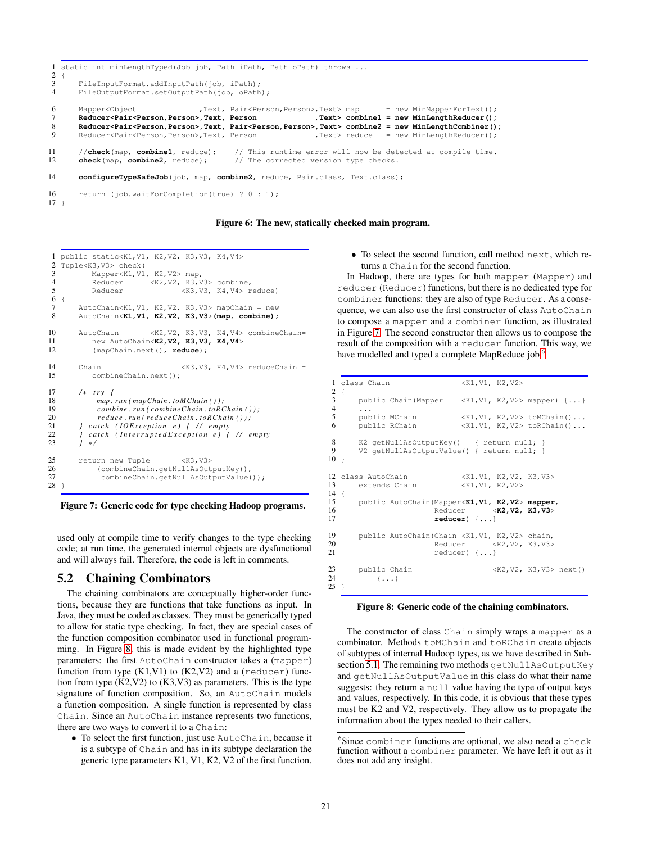```
1 static int minLengthTyped(Job job, Path iPath, Path oPath) throws ...
\frac{2}{3}3 FileInputFormat.addInputPath(job, iPath);
       4 FileOutputFormat.setOutputPath(job, oPath);
f Mapper<Object ,Text, Pair<Person,Person>,Text> map = new MinMapperForText();<br>Reducer<Pair<Person,Person>,Text, Person ,Text> combine1 = new MinLengthReducer();
7 Reducer<Pair<Person,Person>,Text, Person ,Text> combine1 = new MinLengthReducer();
8 Reducer<Pair<Person,Person>,Text, Pair<Person,Person>,Text> combine2 = new MinLengthCombiner();
                                                                   J Rext> reduce = new MinLengthReducer();
11 //check(map, combine1, reduce); // This runtime error will now be detected at compile time.<br>12 check(map, combine2, reduce); // The corrected version type checks.
12 check(map, combine2, reduce); // The corrected version type checks.
14 configureTypeSafeJob(job, map, combine2, reduce, Pair.class, Text.class);
16 return (job.waitForCompletion(true) ? 0 : 1);
17<sup>1</sup>
```
<span id="page-4-0"></span>

```
1 public static<K1,V1, K2,V2, K3,V3, K4,V4>
2 Tuple<K3,V3> check(
3 Mapper<K1,V1, K2,V2> map<br>4 Reducer <K2.V2, K3.
4 Reducer \langle K2, V2, K3, V3 \rangle combine,<br>5 Reducer \langle K3, V3, K4, V4 \rangle r
            5 Reducer <K3,V3, K4,V4> reduce)
6 {
 7 AutoChain<K1, V1, K2, V2, K3, V3> mapChain = new
8 AutoChain<K1,V1, K2,V2, K3,V3>(map, combine);
10 AutoChain <K2, V2, K3, V3, K4, V4> combineChain=
11 new AutoChain<K2,V2, K3,V3, K4,V4>
12 (mapChain.next(), reduce);
14 Chain <K3,V3, K4,V4> reduceChain =
15 combineChain.next();
17 /∗ t r y {
18 map . run (mapChain . toMChain ());<br>19 combine run (combineChain toRC
             combine. run ( combine chain . to RChain ( ) ) ;
20 reduce . run ( reduce Chain . to RChain ( ) ) ;<br>21 l catch ( IO Exception e ) { // empty
21 } catch (IOException e) { // empty<br>22 } catch (InterruptedException e) {
22 } catch (InterruptedExceptione){ //empty<br>23 } ∗/
25 return new Tuple <K3,V3><br>26 (combineChain.getNullAsOut
26 (combineChain.getNullAsOutputKey(),<br>27 combineChain.getNullAsOutputValue(
              combineChain.getNullAsOutputValue());
28
```


<span id="page-4-1"></span>used only at compile time to verify changes to the type checking code; at run time, the generated internal objects are dysfunctional and will always fail. Therefore, the code is left in comments.

# <span id="page-4-2"></span>**5.2 Chaining Combinators**

The chaining combinators are conceptually higher-order functions, because they are functions that take functions as input. In Java, they must be coded as classes. They must be generically typed to allow for static type checking. In fact, they are special cases of the function composition combinator used in functional programming. In Figure [8,](#page-4-3) this is made evident by the highlighted type parameters: the first AutoChain constructor takes a (mapper) function from type  $(K1,V1)$  to  $(K2,V2)$  and a (reducer) function from type  $(K2, V2)$  to  $(K3, V3)$  as parameters. This is the type signature of function composition. So, an AutoChain models a function composition. A single function is represented by class Chain. Since an AutoChain instance represents two functions, there are two ways to convert it to a Chain:

• To select the first function, just use AutoChain, because it is a subtype of Chain and has in its subtype declaration the generic type parameters K1, V1, K2, V2 of the first function. • To select the second function, call method next, which returns a Chain for the second function.

In Hadoop, there are types for both mapper (Mapper) and reducer (Reducer) functions, but there is no dedicated type for combiner functions: they are also of type Reducer. As a consequence, we can also use the first constructor of class AutoChain to compose a mapper and a combiner function, as illustrated in Figure [7.](#page-4-1) The second constructor then allows us to compose the result of the composition with a reducer function. This way, we have modelled and typed a complete MapReduce job.<sup>[6](#page-4-4)</sup>

| 2                          | 1 class Chain<br>$\left\{ \right.$                                                     | $<$ K1, V1, K2, V2>                                                                                        |
|----------------------------|----------------------------------------------------------------------------------------|------------------------------------------------------------------------------------------------------------|
| 3<br>$\overline{4}$        |                                                                                        | public Chain(Mapper <k1,v1, k2,v2=""> mapper) {}</k1,v1,>                                                  |
| 5<br>6                     | $\cdots$<br>public RChain                                                              | public MChain $\langle K1, V1, K2, V2 \rangle$ to MChain()<br>$\langle K1, V1, K2, V2 \rangle$ to RChain() |
| 8<br>9<br>$10 \rightarrow$ | K2 getNullAsOutputKey() { return null; }<br>V2 qetNullAsOutputValue() { return null; } |                                                                                                            |
| $14 \t +$                  | 12 class AutoChain<br>13 extends Chain                                                 | <k1,v1, k2,v2,="" k3,v3=""><br/><math>&lt;</math>K1, V1, K2, V2&gt;</k1,v1,>                               |
| 15<br>16<br>17             | public AutoChain (Mapper <k1, k2,="" v1,="" v2=""> mapper,</k1,>                       | Reducer $\langle K2, V2, K3, V3 \rangle$<br>$reducer)$ $\{ \ldots \}$                                      |
| 19<br>20<br>21             | public AutoChain (Chain <k1, k2,="" v1,="" v2=""> chain,</k1,>                         | Reducer <k2, k3,="" v2,="" v3=""><br/><math>reducer)</math> <math>\{ \}</math></k2,>                       |
| 23<br>24<br>$25 \}$        | public Chain<br>$\{\ldots\}$                                                           | $<$ K2, V2, K3, V3> next()                                                                                 |

#### <span id="page-4-3"></span>**Figure 8: Generic code of the chaining combinators.**

The constructor of class Chain simply wraps a mapper as a combinator. Methods toMChain and toRChain create objects of subtypes of internal Hadoop types, as we have described in Sub-section [5.1.](#page-3-4) The remaining two methods getNullAsOutputKey and getNullAsOutputValue in this class do what their name suggests: they return a null value having the type of output keys and values, respectively. In this code, it is obvious that these types must be K2 and V2, respectively. They allow us to propagate the information about the types needed to their callers.

<span id="page-4-4"></span><sup>&</sup>lt;sup>6</sup>Since combiner functions are optional, we also need a check function without a combiner parameter. We have left it out as it does not add any insight.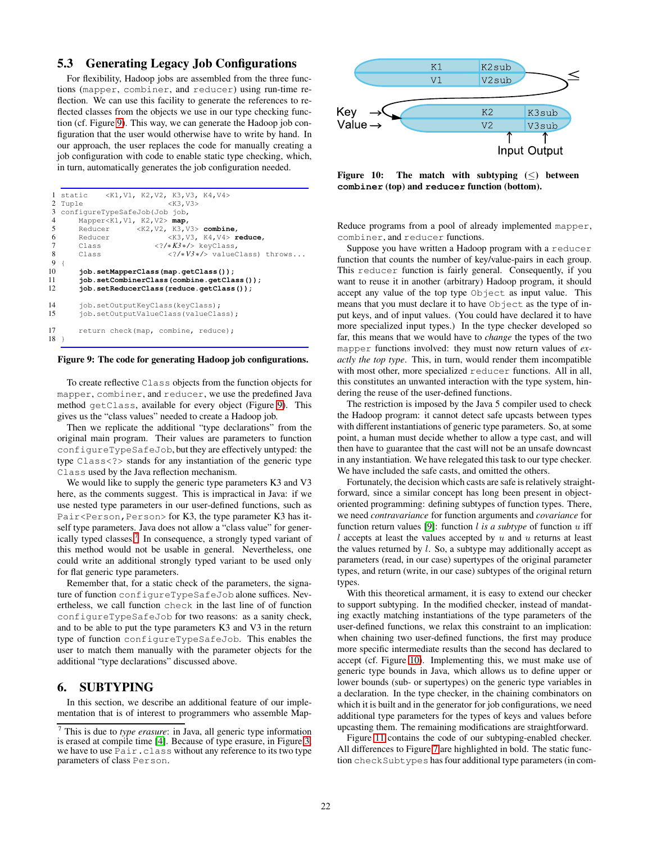# **5.3 Generating Legacy Job Configurations**

For flexibility, Hadoop jobs are assembled from the three functions (mapper, combiner, and reducer) using run-time reflection. We can use this facility to generate the references to reflected classes from the objects we use in our type checking function (cf. Figure [9\)](#page-5-1). This way, we can generate the Hadoop job configuration that the user would otherwise have to write by hand. In our approach, the user replaces the code for manually creating a job configuration with code to enable static type checking, which, in turn, automatically generates the job configuration needed.

| 3              | 1 static < K1, V1, K2, V2, K3, V3, K4, V4><br>$<$ K3.V3><br>2 Tuple<br>configureTypeSafeJob(Job job,                        |
|----------------|-----------------------------------------------------------------------------------------------------------------------------|
| $\overline{4}$ | Mapper <k1, k2,="" v1,="" v2=""> map,</k1,>                                                                                 |
| 5              | Reducer <k2, k3,="" v2,="" v3=""> combine,</k2,>                                                                            |
| 6              | $<$ K3, V3, K4, V4> reduce,<br>Reducer                                                                                      |
| $\tau$         | $\langle$ ?/* $K3*/\rangle$ keyClass,<br>Class                                                                              |
| 8              | /*V3*/ valueClass) throws<br>Class                                                                                          |
|                |                                                                                                                             |
| 9              | - {                                                                                                                         |
| 10<br>11<br>12 | job.setMapperClass(map.getClass());<br>job.setCombinerClass(combine.getClass());<br>job.setReducerClass(reduce.getClass()); |
| 14<br>15       | job.setOutputKeyClass(keyClass);<br>job.setOutputValueClass(valueClass);                                                    |

<span id="page-5-1"></span>**Figure 9: The code for generating Hadoop job configurations.**

To create reflective Class objects from the function objects for mapper, combiner, and reducer, we use the predefined Java method getClass, available for every object (Figure [9\)](#page-5-1). This gives us the "class values" needed to create a Hadoop job.

Then we replicate the additional "type declarations" from the original main program. Their values are parameters to function configureTypeSafeJob, but they are effectively untyped: the type Class<?> stands for any instantiation of the generic type Class used by the Java reflection mechanism.

We would like to supply the generic type parameters K3 and V3 here, as the comments suggest. This is impractical in Java: if we use nested type parameters in our user-defined functions, such as Pair<Person, Person> for K3, the type parameter K3 has itself type parameters. Java does not allow a "class value" for gener-ically typed classes.<sup>[7](#page-5-2)</sup> In consequence, a strongly typed variant of this method would not be usable in general. Nevertheless, one could write an additional strongly typed variant to be used only for flat generic type parameters.

Remember that, for a static check of the parameters, the signature of function configureTypeSafeJob alone suffices. Nevertheless, we call function check in the last line of of function configureTypeSafeJob for two reasons: as a sanity check, and to be able to put the type parameters K3 and V3 in the return type of function configureTypeSafeJob. This enables the user to match them manually with the parameter objects for the additional "type declarations" discussed above.

# <span id="page-5-0"></span>**6. SUBTYPING**

In this section, we describe an additional feature of our implementation that is of interest to programmers who assemble Map-



<span id="page-5-3"></span>**Figure 10: The match with subtyping (**≤**) between combiner (top) and reducer function (bottom).**

Reduce programs from a pool of already implemented mapper, combiner, and reducer functions.

Suppose you have written a Hadoop program with a reducer function that counts the number of key/value-pairs in each group. This reducer function is fairly general. Consequently, if you want to reuse it in another (arbitrary) Hadoop program, it should accept any value of the top type Object as input value. This means that you must declare it to have Object as the type of input keys, and of input values. (You could have declared it to have more specialized input types.) In the type checker developed so far, this means that we would have to *change* the types of the two mapper functions involved: they must now return values of *exactly the top type*. This, in turn, would render them incompatible with most other, more specialized reducer functions. All in all, this constitutes an unwanted interaction with the type system, hindering the reuse of the user-defined functions.

The restriction is imposed by the Java 5 compiler used to check the Hadoop program: it cannot detect safe upcasts between types with different instantiations of generic type parameters. So, at some point, a human must decide whether to allow a type cast, and will then have to guarantee that the cast will not be an unsafe downcast in any instantiation. We have relegated this task to our type checker. We have included the safe casts, and omitted the others.

Fortunately, the decision which casts are safe is relatively straightforward, since a similar concept has long been present in objectoriented programming: defining subtypes of function types. There, we need *contravariance* for function arguments and *covariance* for function return values [\[9\]](#page-7-4): function  $l$  *is a subtype* of function  $u$  iff  $l$  accepts at least the values accepted by  $u$  and  $u$  returns at least the values returned by  $l$ . So, a subtype may additionally accept as parameters (read, in our case) supertypes of the original parameter types, and return (write, in our case) subtypes of the original return types.

With this theoretical armament, it is easy to extend our checker to support subtyping. In the modified checker, instead of mandating exactly matching instantiations of the type parameters of the user-defined functions, we relax this constraint to an implication: when chaining two user-defined functions, the first may produce more specific intermediate results than the second has declared to accept (cf. Figure [10\)](#page-5-3). Implementing this, we must make use of generic type bounds in Java, which allows us to define upper or lower bounds (sub- or supertypes) on the generic type variables in a declaration. In the type checker, in the chaining combinators on which it is built and in the generator for job configurations, we need additional type parameters for the types of keys and values before upcasting them. The remaining modifications are straightforward.

Figure [11](#page-6-1) contains the code of our subtyping-enabled checker. All differences to Figure [7](#page-4-1) are highlighted in bold. The static function checkSubtypes has four additional type parameters (in com-

<span id="page-5-2"></span><sup>7</sup> This is due to *type erasure*: in Java, all generic type information is erased at compile time [\[4\]](#page-7-5). Because of type erasure, in Figure [3,](#page-2-2) we have to use Pair.class without any reference to its two type parameters of class Person.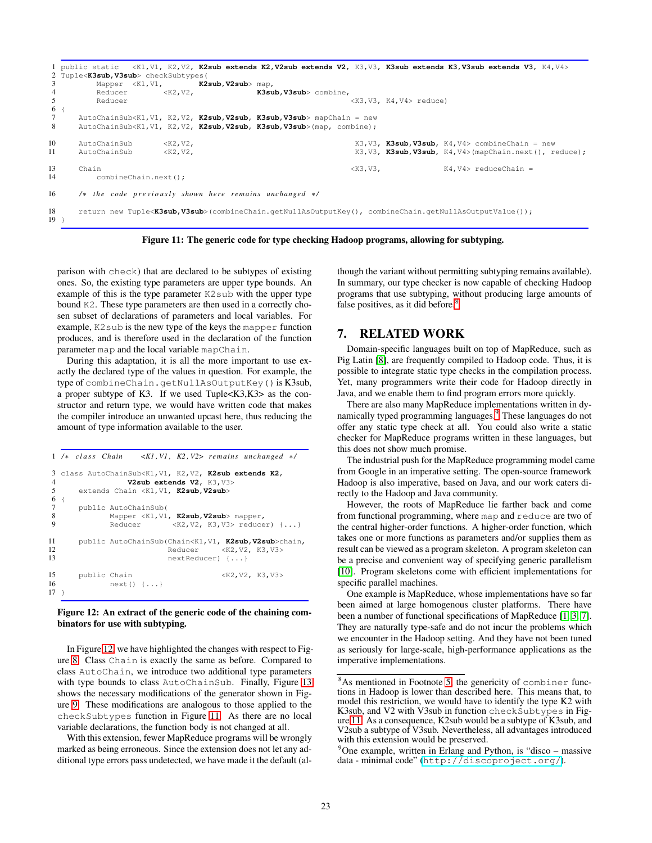```
1 public static <K1,V1, K2,V2, K2sub extends K2,V2sub extends V2, K3,V3, K3sub extends K3,V3sub extends V3, K4,V4>
2 Tuple<K3sub,V3sub> checkSubtypes(
3 Mapper <K1,V1, K2sub,V2sub> map,<br>4 Reducer <K2,V2,
4 Reducer <K2,V2, K3sub,V3sub> combine,
         5 Reducer <K3,V3, K4,V4> reduce)
\frac{6}{7}7 AutoChainSub<K1,V1, K2,V2, K2sub,V2sub, K3sub,V3sub> mapChain = new
8 AutoChainSub<K1,V1, K2,V2, K2sub,V2sub, K3sub,V3sub>(map, combine);
10 AutoChainSub <K2,V2,<br>11 AutoChainSub <K2,V2, K3,V3, K3sub,V3sub,K4,V4> combineChain = new<br>K3,V3, K3sub,V3sub,K4,V4> (mapChain.next(), re
                                                                K3,V3, K3sub, V3sub, K4,V4>(mapChain.next(), reduce);
13 Chain K4, V4 > reduceChain = (K3, V3, K4,V4> reduceChain = (K4, V4 > 0.01)combineChain.next();
16 /* the code previously shown here remains unchanged */
18 return new Tuple<K3sub,V3sub>(combineChain.getNullAsOutputKey(), combineChain.getNullAsOutputValue());
19 }
```
<span id="page-6-1"></span>**Figure 11: The generic code for type checking Hadoop programs, allowing for subtyping.**

parison with check) that are declared to be subtypes of existing ones. So, the existing type parameters are upper type bounds. An example of this is the type parameter K2sub with the upper type bound K2. These type parameters are then used in a correctly chosen subset of declarations of parameters and local variables. For example, K2sub is the new type of the keys the mapper function produces, and is therefore used in the declaration of the function parameter map and the local variable mapChain.

During this adaptation, it is all the more important to use exactly the declared type of the values in question. For example, the type of combineChain.getNullAsOutputKey() is K3sub, a proper subtype of K3. If we used Tuple<K3,K3> as the constructor and return type, we would have written code that makes the compiler introduce an unwanted upcast here, thus reducing the amount of type information available to the user.

```
1 /* class Chain <K1, V1, K2, V2> remains unchanged */
3 class AutoChainSub<K1,V1, K2,V2, K2sub extends K2,
4 V2sub extends V2, K3,V3>
      extends Chain <K1,V1, K2sub, V2sub>
\frac{6}{7}public AutoChainSub(
8 Mapper <K1,V1, K2sub,V2sub> mapper,
             Reducer <K2, V2, K3, V3> reducer) {...}
11 public AutoChainSub(Chain<K1,V1, K2sub,V2sub>chain,<br>12 Reducer <K2,V2, K3,V3>
                          Reducer <K2,V2, K3,V3>
13 nextReducer) {...}
15 public Chain \langle K2, V2, K3, V3 \rangle<br>16 next() { }
             next() {...}
17 }
```
#### <span id="page-6-2"></span>**Figure 12: An extract of the generic code of the chaining combinators for use with subtyping.**

In Figure [12,](#page-6-2) we have highlighted the changes with respect to Figure [8.](#page-4-3) Class Chain is exactly the same as before. Compared to class AutoChain, we introduce two additional type parameters with type bounds to class AutoChainSub. Finally, Figure [13](#page-7-6) shows the necessary modifications of the generator shown in Figure [9.](#page-5-1) These modifications are analogous to those applied to the checkSubtypes function in Figure [11.](#page-6-1) As there are no local variable declarations, the function body is not changed at all.

With this extension, fewer MapReduce programs will be wrongly marked as being erroneous. Since the extension does not let any additional type errors pass undetected, we have made it the default (although the variant without permitting subtyping remains available). In summary, our type checker is now capable of checking Hadoop programs that use subtyping, without producing large amounts of false positives, as it did before.<sup>[8](#page-6-3)</sup>

# <span id="page-6-0"></span>**7. RELATED WORK**

Domain-specific languages built on top of MapReduce, such as Pig Latin [\[8\]](#page-7-7), are frequently compiled to Hadoop code. Thus, it is possible to integrate static type checks in the compilation process. Yet, many programmers write their code for Hadoop directly in Java, and we enable them to find program errors more quickly.

There are also many MapReduce implementations written in dy-namically typed programming languages.<sup>[9](#page-6-4)</sup> These languages do not offer any static type check at all. You could also write a static checker for MapReduce programs written in these languages, but this does not show much promise.

The industrial push for the MapReduce programming model came from Google in an imperative setting. The open-source framework Hadoop is also imperative, based on Java, and our work caters directly to the Hadoop and Java community.

However, the roots of MapReduce lie farther back and come from functional programming, where map and reduce are two of the central higher-order functions. A higher-order function, which takes one or more functions as parameters and/or supplies them as result can be viewed as a program skeleton. A program skeleton can be a precise and convenient way of specifying generic parallelism [\[10\]](#page-7-8). Program skeletons come with efficient implementations for specific parallel machines.

One example is MapReduce, whose implementations have so far been aimed at large homogenous cluster platforms. There have been a number of functional specifications of MapReduce [\[1,](#page-7-9) [3,](#page-7-10) [7\]](#page-7-11). They are naturally type-safe and do not incur the problems which we encounter in the Hadoop setting. And they have not been tuned as seriously for large-scale, high-performance applications as the imperative implementations.

<span id="page-6-3"></span> $8$ As mentioned in Footnote [5,](#page-3-3) the genericity of combiner functions in Hadoop is lower than described here. This means that, to model this restriction, we would have to identify the type K2 with K3sub, and V2 with V3sub in function checkSubtypes in Figure [11.](#page-6-1) As a consequence, K2sub would be a subtype of K3sub, and V2sub a subtype of V3sub. Nevertheless, all advantages introduced with this extension would be preserved.

<span id="page-6-4"></span> $9^9$ One example, written in Erlang and Python, is "disco – massive data - minimal code" (<http://discoproject.org/>).